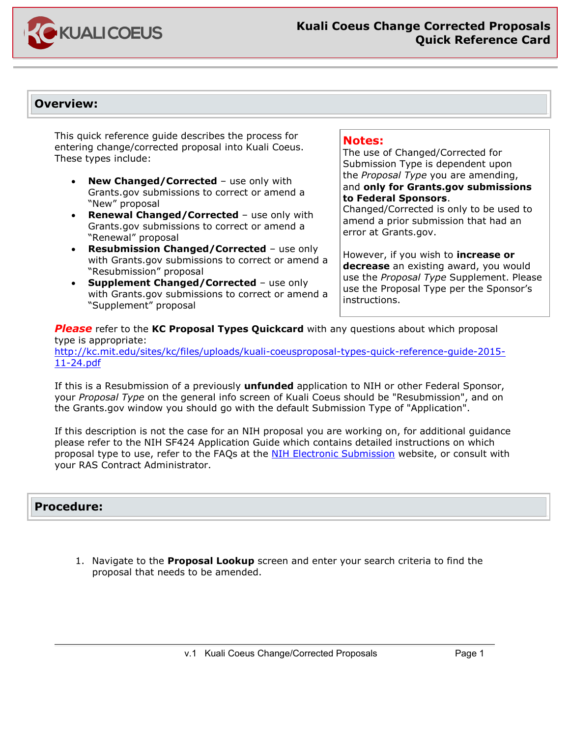

## **Overview:**

This quick reference guide describes the process for entering change/corrected proposal into Kuali Coeus. These types include:

- **New Changed/Corrected** use only with Grants.gov submissions to correct or amend a "New" proposal
- **Renewal Changed/Corrected** use only with Grants.gov submissions to correct or amend a "Renewal" proposal
- **Resubmission Changed/Corrected** use only with Grants.gov submissions to correct or amend a "Resubmission" proposal
- **Supplement Changed/Corrected** use only with Grants.gov submissions to correct or amend a "Supplement" proposal

#### **Notes:**

The use of Changed/Corrected for Submission Type is dependent upon the *Proposal Type* you are amending, and **only for Grants.gov submissions to Federal Sponsors**.

Changed/Corrected is only to be used to amend a prior submission that had an error at Grants.gov.

However, if you wish to **increase or decrease** an existing award, you would use the *Proposal Type* Supplement. Please use the Proposal Type per the Sponsor's instructions.

*Please* refer to the **KC Proposal Types Quickcard** with any questions about which proposal type is appropriate: [http://kc.mit.edu/sites/kc/files/uploads/kuali-coeusproposal-types-quick-reference-guide-2015-](http://kc.mit.edu/sites/kc/files/uploads/kuali-coeusproposal-types-quick-reference-guide-2015-11-24.pdf) [11-24.pdf](http://kc.mit.edu/sites/kc/files/uploads/kuali-coeusproposal-types-quick-reference-guide-2015-11-24.pdf)

If this is a Resubmission of a previously **unfunded** application to NIH or other Federal Sponsor, your *Proposal Type* on the general info screen of Kuali Coeus should be "Resubmission", and on the Grants.gov window you should go with the default Submission Type of "Application".

If this description is not the case for an NIH proposal you are working on, for additional guidance please refer to the NIH SF424 Application Guide which contains detailed instructions on which proposal type to use, refer to the FAQs at the [NIH Electronic Submission](http://era.nih.gov/ElectronicReceipt/faq_prepare_app.htm#1a) website, or consult with your RAS Contract Administrator.

## **Procedure:**

1. Navigate to the **Proposal Lookup** screen and enter your search criteria to find the proposal that needs to be amended.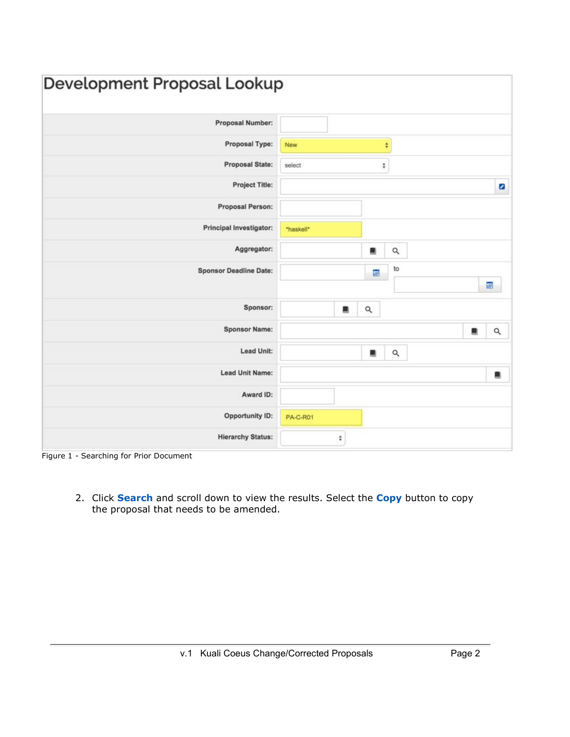| Development Proposal Lookup   |                 |
|-------------------------------|-----------------|
| Proposal Number:              |                 |
| Proposal Type:                | New<br>÷        |
| Proposal State:               | ÷<br>select     |
| Project Title:                | ø               |
| Proposal Person:              |                 |
| Principal Investigator:       | "haskell"       |
| Aggregator:                   | Q<br>鰮          |
| <b>Sponsor Deadline Date:</b> | to<br>ē<br>靊    |
| Sponsor:                      | Q<br>а          |
| <b>Sponsor Name:</b>          | $\alpha$<br>۰   |
| Lead Unit:                    | $\alpha$<br>鳳   |
| Lead Unit Name:               | 農               |
| Award ID:                     |                 |
| <b>Opportunity ID:</b>        | <b>PA-C-R01</b> |
| <b>Hierarchy Status:</b>      | ÷               |

Figure 1 - Searching for Prior Document

2. Click **Search** and scroll down to view the results. Select the **Copy** button to copy the proposal that needs to be amended.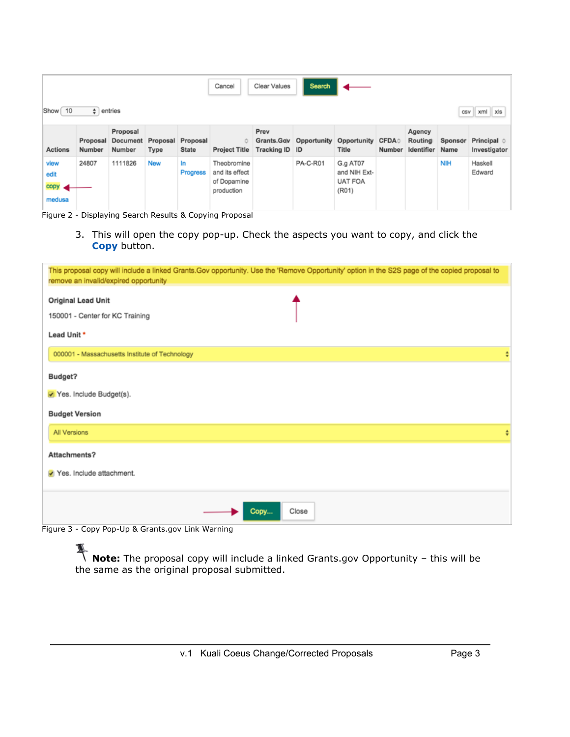|                                  | Search<br>Clear Values<br>Cancel |                                         |      |                                   |                                                            |                                      |             |                                                     |                       |                                 |                 |                                      |
|----------------------------------|----------------------------------|-----------------------------------------|------|-----------------------------------|------------------------------------------------------------|--------------------------------------|-------------|-----------------------------------------------------|-----------------------|---------------------------------|-----------------|--------------------------------------|
| Show 10                          | $\div$ entries                   |                                         |      |                                   |                                                            |                                      |             |                                                     |                       |                                 |                 | csv xml xls                          |
| <b>Actions</b>                   | Number                           | Proposal<br>Proposal Document<br>Number | Type | Proposal Proposal<br><b>State</b> | ٠<br><b>Project Title</b>                                  | Prev<br>Grants.Gov<br>Tracking ID ID | Opportunity | Opportunity<br>Title                                | <b>CFDA</b><br>Number | Agency<br>Routing<br>Identifier | Sponsor<br>Name | Principal $\diamond$<br>Investigator |
| view<br>edit<br>copy <<br>medusa | 24807                            | 1111826                                 | New  | In<br><b>Progress</b>             | Theobromine<br>and its effect<br>of Dopamine<br>production |                                      | PA-C-R01    | G.g AT07<br>and NIH Ext-<br><b>UAT FOA</b><br>(R01) |                       |                                 | <b>NIH</b>      | Haskell<br>Edward                    |

Figure 2 - Displaying Search Results & Copying Proposal

3. This will open the copy pop-up. Check the aspects you want to copy, and click the **Copy** button.

| This proposal copy will include a linked Grants.Gov opportunity. Use the 'Remove Opportunity' option in the S2S page of the copied proposal to<br>remove an invalid/expired opportunity |  |
|-----------------------------------------------------------------------------------------------------------------------------------------------------------------------------------------|--|
| <b>Original Lead Unit</b><br>150001 - Center for KC Training                                                                                                                            |  |
| Lead Unit *                                                                                                                                                                             |  |
| 000001 - Massachusetts Institute of Technology                                                                                                                                          |  |
| Budget?                                                                                                                                                                                 |  |
| Yes. Include Budget(s).                                                                                                                                                                 |  |
| <b>Budget Version</b>                                                                                                                                                                   |  |
| All Versions                                                                                                                                                                            |  |
| Attachments?                                                                                                                                                                            |  |
| Yes. Include attachment.                                                                                                                                                                |  |
| Close<br>Copy                                                                                                                                                                           |  |

Figure 3 - Copy Pop-Up & Grants.gov Link Warning

**Note:** The proposal copy will include a linked Grants.gov Opportunity – this will be the same as the original proposal submitted.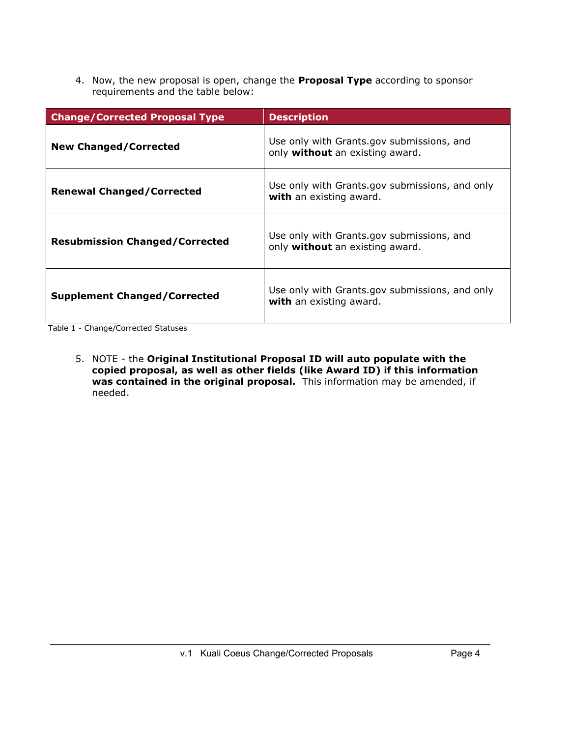4. Now, the new proposal is open, change the **Proposal Type** according to sponsor requirements and the table below:

| <b>Change/Corrected Proposal Type</b> | <b>Description</b>                                                           |
|---------------------------------------|------------------------------------------------------------------------------|
| <b>New Changed/Corrected</b>          | Use only with Grants.gov submissions, and<br>only without an existing award. |
| <b>Renewal Changed/Corrected</b>      | Use only with Grants.gov submissions, and only<br>with an existing award.    |
| <b>Resubmission Changed/Corrected</b> | Use only with Grants.gov submissions, and<br>only without an existing award. |
| <b>Supplement Changed/Corrected</b>   | Use only with Grants.gov submissions, and only<br>with an existing award.    |

Table 1 - Change/Corrected Statuses

5. NOTE - the **Original Institutional Proposal ID will auto populate with the copied proposal, as well as other fields (like Award ID) if this information was contained in the original proposal.** This information may be amended, if needed.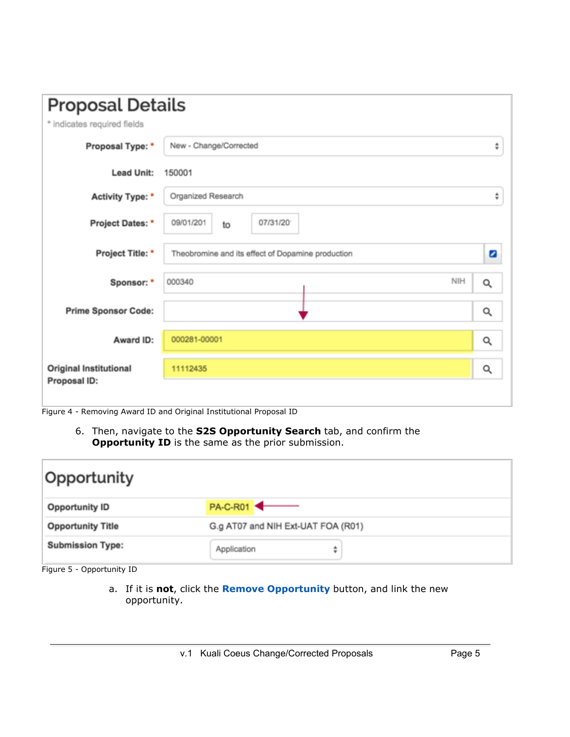| <b>Proposal Details</b>                |                                                   |                         |
|----------------------------------------|---------------------------------------------------|-------------------------|
| * indicates required fields            |                                                   |                         |
| Proposal Type: *                       | New - Change/Corrected                            | ÷                       |
| <b>Lead Unit:</b>                      | 150001                                            |                         |
| Activity Type: *                       | Organized Research                                | ÷                       |
| Project Dates: *                       | 07/31/20<br>09/01/201<br>to                       |                         |
| Project Title: *                       | Theobromine and its effect of Dopamine production | $\overline{\mathbf{z}}$ |
| Sponsor: *                             | NIH<br>000340                                     | Q                       |
| <b>Prime Sponsor Code:</b>             |                                                   | Q                       |
| Award ID:                              | 000281-00001                                      | Q                       |
| Original Institutional<br>Proposal ID: | 11112435                                          | Q                       |
|                                        |                                                   |                         |

Figure 4 - Removing Award ID and Original Institutional Proposal ID

6. Then, navigate to the **S2S Opportunity Search** tab, and confirm the **Opportunity ID** is the same as the prior submission.

| Opportunity              |                                    |
|--------------------------|------------------------------------|
| <b>Opportunity ID</b>    | <b>PA-C-R01</b>                    |
| <b>Opportunity Title</b> | G.g AT07 and NIH Ext-UAT FOA (R01) |
| <b>Submission Type:</b>  | Application<br>÷                   |

Figure 5 - Opportunity ID

a. If it is **not**, click the **Remove Opportunity** button, and link the new opportunity.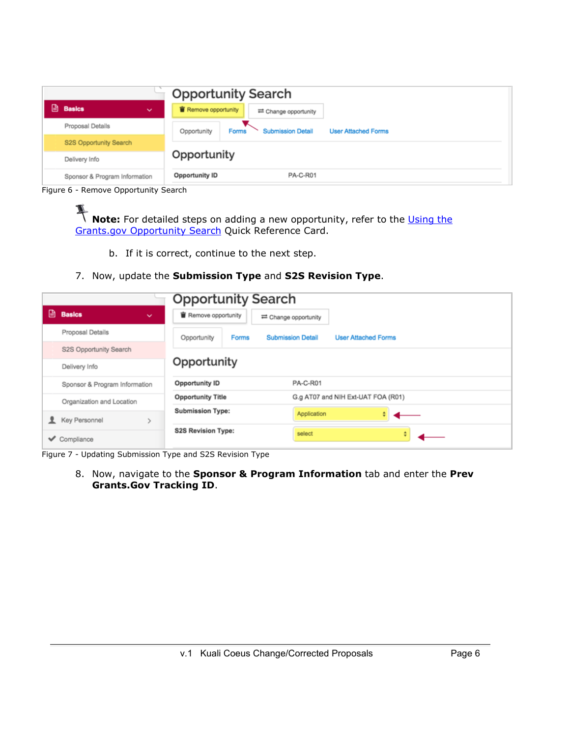| <b>Opportunity Search</b>     |              |                                                                                |  |  |
|-------------------------------|--------------|--------------------------------------------------------------------------------|--|--|
| <b>Basics</b>                 | $\checkmark$ | Remove opportunity<br>≡ Change opportunity                                     |  |  |
| Proposal Details              |              | <b>Submission Detail</b><br><b>User Attached Forms</b><br>Forms<br>Opportunity |  |  |
| S2S Opportunity Search        |              |                                                                                |  |  |
| Delivery Info                 | Opportunity  |                                                                                |  |  |
| Sponsor & Program Information |              | <b>PA-C-R01</b><br><b>Opportunity ID</b>                                       |  |  |

Figure 6 - Remove Opportunity Search

**Note:** For detailed steps on adding a new opportunity, refer to the Using the [Grants.gov Opportunity Search](http://kc.mit.edu/sites/kc/files/kuali-coeus-using-grants-gov-opportunity-search-quick-reference-card-2015-04-28.pdf) Quick Reference Card.

b. If it is correct, continue to the next step.

#### 7. Now, update the **Submission Type** and **S2S Revision Type**.

|   |                               | <b>Opportunity Search</b>                                                             |
|---|-------------------------------|---------------------------------------------------------------------------------------|
|   | Basics<br>$\checkmark$        | Remove opportunity<br>≡ Change opportunity                                            |
|   | Proposal Details              | Opportunity<br><b>Forms</b><br><b>Submission Detail</b><br><b>User Attached Forms</b> |
|   | S2S Opportunity Search        |                                                                                       |
|   | Delivery Info                 | Opportunity                                                                           |
|   | Sponsor & Program Information | <b>PA-C-R01</b><br><b>Opportunity ID</b>                                              |
|   | Organization and Location     | G.g AT07 and NIH Ext-UAT FOA (R01)<br><b>Opportunity Title</b>                        |
|   | Key Personnel                 | <b>Submission Type:</b><br>Application                                                |
| ✓ | Compliance                    | <b>S2S Revision Type:</b><br>select<br>÷                                              |

Figure 7 - Updating Submission Type and S2S Revision Type

8. Now, navigate to the **Sponsor & Program Information** tab and enter the **Prev Grants.Gov Tracking ID**.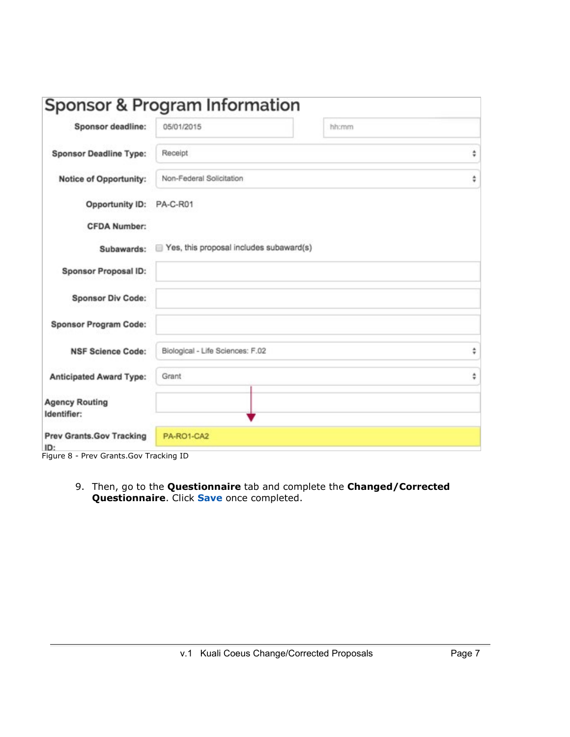|                                                                                   | Sponsor & Program Information           |       |   |
|-----------------------------------------------------------------------------------|-----------------------------------------|-------|---|
| Sponsor deadline:                                                                 | 05/01/2015                              | hh:mm |   |
| <b>Sponsor Deadline Type:</b>                                                     | Receipt                                 |       | ٥ |
| <b>Notice of Opportunity:</b>                                                     | Non-Federal Solicitation                |       | ÷ |
| <b>Opportunity ID:</b>                                                            | PA-C-R01                                |       |   |
| <b>CFDA Number:</b>                                                               |                                         |       |   |
| Subawards:                                                                        | Yes, this proposal includes subaward(s) |       |   |
| <b>Sponsor Proposal ID:</b>                                                       |                                         |       |   |
| <b>Sponsor Div Code:</b>                                                          |                                         |       |   |
| <b>Sponsor Program Code:</b>                                                      |                                         |       |   |
| <b>NSF Science Code:</b>                                                          | Biological - Life Sciences: F.02        |       | ÷ |
| <b>Anticipated Award Type:</b>                                                    | Grant                                   |       | ÷ |
| <b>Agency Routing</b><br>Identifier:                                              |                                         |       |   |
| <b>Prev Grants.Gov Tracking</b><br>ID:<br>Figure 8 - Prev Grants. Gov Tracking ID | PA-RO1-CA2                              |       |   |

9. Then, go to the **Questionnaire** tab and complete the **Changed/Corrected Questionnaire**. Click **Save** once completed.